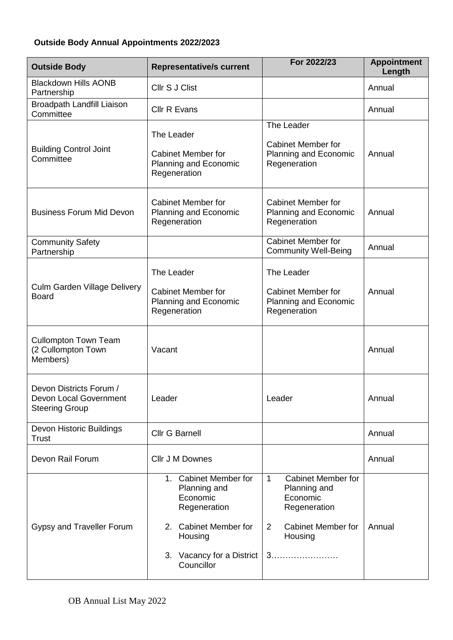## **Outside Body Annual Appointments 2022/2023**

| <b>Outside Body</b>                                                        | <b>Representative/s current</b>                                                                                                                  | For 2022/23                                                                                                                                    | <b>Appointment</b><br>Length |
|----------------------------------------------------------------------------|--------------------------------------------------------------------------------------------------------------------------------------------------|------------------------------------------------------------------------------------------------------------------------------------------------|------------------------------|
| <b>Blackdown Hills AONB</b><br>Partnership                                 | Cllr S J Clist                                                                                                                                   |                                                                                                                                                | Annual                       |
| Broadpath Landfill Liaison<br>Committee                                    | <b>Cllr R Evans</b>                                                                                                                              |                                                                                                                                                | Annual                       |
| <b>Building Control Joint</b><br>Committee                                 | The Leader<br><b>Cabinet Member for</b><br>Planning and Economic<br>Regeneration                                                                 | The Leader<br><b>Cabinet Member for</b><br>Planning and Economic<br>Regeneration                                                               | Annual                       |
| <b>Business Forum Mid Devon</b>                                            | <b>Cabinet Member for</b><br><b>Planning and Economic</b><br>Regeneration                                                                        | <b>Cabinet Member for</b><br>Planning and Economic<br>Regeneration                                                                             | Annual                       |
| <b>Community Safety</b><br>Partnership                                     |                                                                                                                                                  | <b>Cabinet Member for</b><br><b>Community Well-Being</b>                                                                                       | Annual                       |
| Culm Garden Village Delivery<br><b>Board</b>                               | The Leader<br><b>Cabinet Member for</b><br>Planning and Economic<br>Regeneration                                                                 | The Leader<br><b>Cabinet Member for</b><br>Planning and Economic<br>Regeneration                                                               | Annual                       |
| <b>Cullompton Town Team</b><br>(2 Cullompton Town<br>Members)              | Vacant                                                                                                                                           |                                                                                                                                                | Annual                       |
| Devon Districts Forum /<br>Devon Local Government<br><b>Steering Group</b> | Leader                                                                                                                                           | Leader                                                                                                                                         | Annual                       |
| Devon Historic Buildings<br>Trust                                          | <b>Cllr G Barnell</b>                                                                                                                            |                                                                                                                                                | Annual                       |
| Devon Rail Forum                                                           | Cllr J M Downes                                                                                                                                  |                                                                                                                                                | Annual                       |
| Gypsy and Traveller Forum                                                  | 1. Cabinet Member for<br>Planning and<br>Economic<br>Regeneration<br>2. Cabinet Member for<br>Housing<br>3. Vacancy for a District<br>Councillor | <b>Cabinet Member for</b><br>$\mathbf 1$<br>Planning and<br>Economic<br>Regeneration<br><b>Cabinet Member for</b><br>$\overline{2}$<br>Housing | Annual                       |